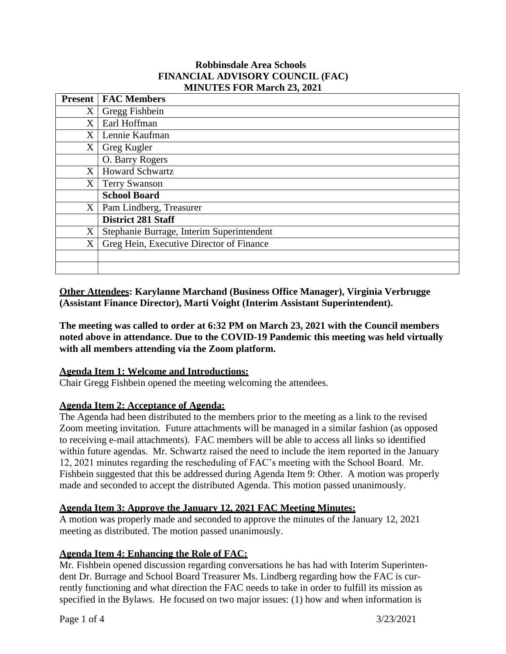#### **Robbinsdale Area Schools FINANCIAL ADVISORY COUNCIL (FAC) MINUTES FOR March 23, 2021**

|                   | <b>Present   FAC Members</b>              |
|-------------------|-------------------------------------------|
| X <sub>1</sub>    | Gregg Fishbein                            |
| X                 | Earl Hoffman                              |
| X                 | Lennie Kaufman                            |
| $\rm X$ .         | Greg Kugler                               |
|                   | O. Barry Rogers                           |
| X                 | <b>Howard Schwartz</b>                    |
| $X_{\cdot}$       | <b>Terry Swanson</b>                      |
|                   | <b>School Board</b>                       |
| $X_{\mathcal{E}}$ | Pam Lindberg, Treasurer                   |
|                   | <b>District 281 Staff</b>                 |
| X                 | Stephanie Burrage, Interim Superintendent |
| X                 | Greg Hein, Executive Director of Finance  |
|                   |                                           |
|                   |                                           |

**Other Attendees: Karylanne Marchand (Business Office Manager), Virginia Verbrugge (Assistant Finance Director), Marti Voight (Interim Assistant Superintendent).**

**The meeting was called to order at 6:32 PM on March 23, 2021 with the Council members noted above in attendance. Due to the COVID-19 Pandemic this meeting was held virtually with all members attending via the Zoom platform.**

#### **Agenda Item 1: Welcome and Introductions:**

Chair Gregg Fishbein opened the meeting welcoming the attendees.

## **Agenda Item 2: Acceptance of Agenda:**

The Agenda had been distributed to the members prior to the meeting as a link to the revised Zoom meeting invitation. Future attachments will be managed in a similar fashion (as opposed to receiving e-mail attachments). FAC members will be able to access all links so identified within future agendas. Mr. Schwartz raised the need to include the item reported in the January 12, 2021 minutes regarding the rescheduling of FAC's meeting with the School Board. Mr. Fishbein suggested that this be addressed during Agenda Item 9: Other. A motion was properly made and seconded to accept the distributed Agenda. This motion passed unanimously.

## **Agenda Item 3: Approve the January 12, 2021 FAC Meeting Minutes:**

A motion was properly made and seconded to approve the minutes of the January 12, 2021 meeting as distributed. The motion passed unanimously.

## **Agenda Item 4: Enhancing the Role of FAC:**

Mr. Fishbein opened discussion regarding conversations he has had with Interim Superintendent Dr. Burrage and School Board Treasurer Ms. Lindberg regarding how the FAC is currently functioning and what direction the FAC needs to take in order to fulfill its mission as specified in the Bylaws. He focused on two major issues: (1) how and when information is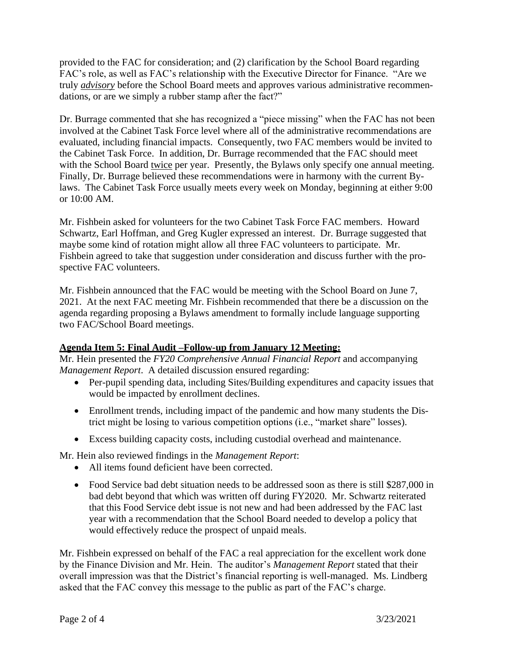provided to the FAC for consideration; and (2) clarification by the School Board regarding FAC's role, as well as FAC's relationship with the Executive Director for Finance. "Are we truly *advisory* before the School Board meets and approves various administrative recommendations, or are we simply a rubber stamp after the fact?"

Dr. Burrage commented that she has recognized a "piece missing" when the FAC has not been involved at the Cabinet Task Force level where all of the administrative recommendations are evaluated, including financial impacts. Consequently, two FAC members would be invited to the Cabinet Task Force. In addition, Dr. Burrage recommended that the FAC should meet with the School Board twice per year. Presently, the Bylaws only specify one annual meeting. Finally, Dr. Burrage believed these recommendations were in harmony with the current Bylaws. The Cabinet Task Force usually meets every week on Monday, beginning at either 9:00 or 10:00 AM.

Mr. Fishbein asked for volunteers for the two Cabinet Task Force FAC members. Howard Schwartz, Earl Hoffman, and Greg Kugler expressed an interest. Dr. Burrage suggested that maybe some kind of rotation might allow all three FAC volunteers to participate. Mr. Fishbein agreed to take that suggestion under consideration and discuss further with the prospective FAC volunteers.

Mr. Fishbein announced that the FAC would be meeting with the School Board on June 7, 2021. At the next FAC meeting Mr. Fishbein recommended that there be a discussion on the agenda regarding proposing a Bylaws amendment to formally include language supporting two FAC/School Board meetings.

## **Agenda Item 5: Final Audit –Follow-up from January 12 Meeting:**

Mr. Hein presented the *FY20 Comprehensive Annual Financial Report* and accompanying *Management Report*. A detailed discussion ensured regarding:

- Per-pupil spending data, including Sites/Building expenditures and capacity issues that would be impacted by enrollment declines.
- Enrollment trends, including impact of the pandemic and how many students the District might be losing to various competition options (i.e., "market share" losses).
- Excess building capacity costs, including custodial overhead and maintenance.

Mr. Hein also reviewed findings in the *Management Report*:

- All items found deficient have been corrected.
- Food Service bad debt situation needs to be addressed soon as there is still \$287,000 in bad debt beyond that which was written off during FY2020. Mr. Schwartz reiterated that this Food Service debt issue is not new and had been addressed by the FAC last year with a recommendation that the School Board needed to develop a policy that would effectively reduce the prospect of unpaid meals.

Mr. Fishbein expressed on behalf of the FAC a real appreciation for the excellent work done by the Finance Division and Mr. Hein. The auditor's *Management Report* stated that their overall impression was that the District's financial reporting is well-managed. Ms. Lindberg asked that the FAC convey this message to the public as part of the FAC's charge.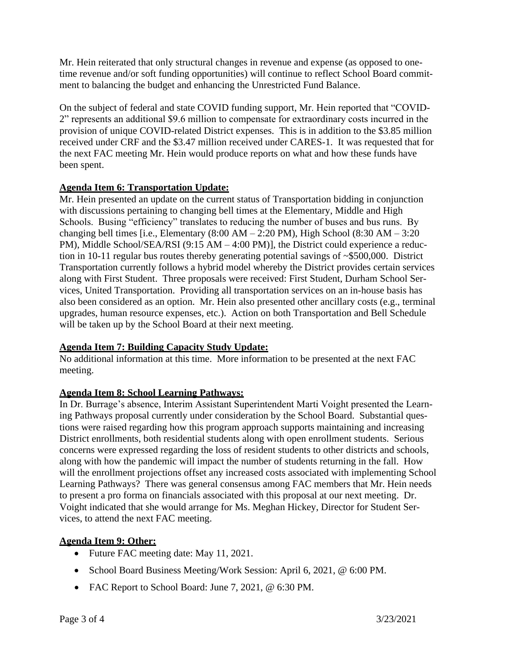Mr. Hein reiterated that only structural changes in revenue and expense (as opposed to onetime revenue and/or soft funding opportunities) will continue to reflect School Board commitment to balancing the budget and enhancing the Unrestricted Fund Balance.

On the subject of federal and state COVID funding support, Mr. Hein reported that "COVID-2" represents an additional \$9.6 million to compensate for extraordinary costs incurred in the provision of unique COVID-related District expenses. This is in addition to the \$3.85 million received under CRF and the \$3.47 million received under CARES-1. It was requested that for the next FAC meeting Mr. Hein would produce reports on what and how these funds have been spent.

## **Agenda Item 6: Transportation Update:**

Mr. Hein presented an update on the current status of Transportation bidding in conjunction with discussions pertaining to changing bell times at the Elementary, Middle and High Schools. Busing "efficiency" translates to reducing the number of buses and bus runs. By changing bell times [i.e., Elementary  $(8:00 \text{ AM} - 2:20 \text{ PM})$ , High School  $(8:30 \text{ AM} - 3:20 \text{ PM})$ PM), Middle School/SEA/RSI (9:15 AM – 4:00 PM)], the District could experience a reduction in 10-11 regular bus routes thereby generating potential savings of ~\$500,000. District Transportation currently follows a hybrid model whereby the District provides certain services along with First Student. Three proposals were received: First Student, Durham School Services, United Transportation. Providing all transportation services on an in-house basis has also been considered as an option. Mr. Hein also presented other ancillary costs (e.g., terminal upgrades, human resource expenses, etc.). Action on both Transportation and Bell Schedule will be taken up by the School Board at their next meeting.

#### **Agenda Item 7: Building Capacity Study Update:**

No additional information at this time. More information to be presented at the next FAC meeting.

## **Agenda Item 8: School Learning Pathways:**

In Dr. Burrage's absence, Interim Assistant Superintendent Marti Voight presented the Learning Pathways proposal currently under consideration by the School Board. Substantial questions were raised regarding how this program approach supports maintaining and increasing District enrollments, both residential students along with open enrollment students. Serious concerns were expressed regarding the loss of resident students to other districts and schools, along with how the pandemic will impact the number of students returning in the fall. How will the enrollment projections offset any increased costs associated with implementing School Learning Pathways? There was general consensus among FAC members that Mr. Hein needs to present a pro forma on financials associated with this proposal at our next meeting. Dr. Voight indicated that she would arrange for Ms. Meghan Hickey, Director for Student Services, to attend the next FAC meeting.

## **Agenda Item 9: Other:**

- Future FAC meeting date: May 11, 2021.
- School Board Business Meeting/Work Session: April 6, 2021, @ 6:00 PM.
- FAC Report to School Board: June 7, 2021, @ 6:30 PM.